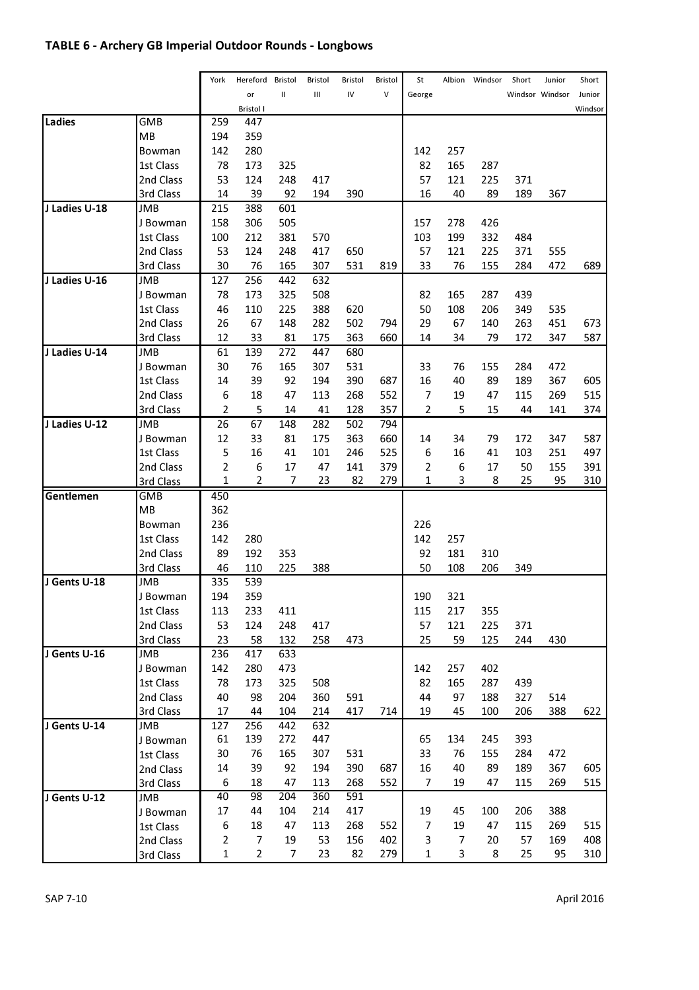# TABLE 6 - Archery GB Imperial Outdoor Rounds - Longbows

|               |            | York           | Hereford         | Bristol | Bristol | Bristol | Bristol | St             | Albion | Windsor | Short | Junior          | Short   |
|---------------|------------|----------------|------------------|---------|---------|---------|---------|----------------|--------|---------|-------|-----------------|---------|
|               |            |                | or               | Ш       | Ш       | IV      | $\vee$  | George         |        |         |       | Windsor Windsor | Junior  |
|               |            |                | <b>Bristol I</b> |         |         |         |         |                |        |         |       |                 | Windsor |
| Ladies        | <b>GMB</b> | 259            | 447              |         |         |         |         |                |        |         |       |                 |         |
|               | MB         | 194            | 359              |         |         |         |         |                |        |         |       |                 |         |
|               | Bowman     | 142            | 280              |         |         |         |         | 142            | 257    |         |       |                 |         |
|               | 1st Class  | 78             | 173              | 325     |         |         |         | 82             | 165    | 287     |       |                 |         |
|               | 2nd Class  | 53             | 124              | 248     | 417     |         |         | 57             | 121    | 225     | 371   |                 |         |
|               | 3rd Class  | 14             | 39               | 92      | 194     | 390     |         | 16             | 40     | 89      | 189   | 367             |         |
| J Ladies U-18 | JMB        | 215            | 388              | 601     |         |         |         |                |        |         |       |                 |         |
|               | J Bowman   | 158            | 306              | 505     |         |         |         | 157            | 278    | 426     |       |                 |         |
|               | 1st Class  | 100            | 212              | 381     | 570     |         |         | 103            | 199    | 332     | 484   |                 |         |
|               | 2nd Class  | 53             | 124              | 248     | 417     | 650     |         | 57             | 121    | 225     | 371   | 555             |         |
|               | 3rd Class  | 30             | 76               | 165     | 307     | 531     | 819     | 33             | 76     | 155     | 284   | 472             | 689     |
| J Ladies U-16 | <b>JMB</b> | 127            | 256              | 442     | 632     |         |         |                |        |         |       |                 |         |
|               | J Bowman   | 78             | 173              | 325     | 508     |         |         | 82             | 165    | 287     | 439   |                 |         |
|               | 1st Class  | 46             | 110              | 225     | 388     | 620     |         | 50             | 108    | 206     | 349   | 535             |         |
|               | 2nd Class  | 26             | 67               | 148     | 282     | 502     | 794     | 29             | 67     | 140     | 263   | 451             | 673     |
|               | 3rd Class  | 12             | 33               | 81      | 175     | 363     | 660     | 14             | 34     | 79      | 172   | 347             | 587     |
| J Ladies U-14 | <b>JMB</b> | 61             | 139              | 272     | 447     | 680     |         |                |        |         |       |                 |         |
|               | J Bowman   | 30             | 76               | 165     | 307     | 531     |         | 33             | 76     | 155     | 284   | 472             |         |
|               | 1st Class  | 14             | 39               | 92      | 194     | 390     | 687     | 16             | 40     | 89      | 189   | 367             | 605     |
|               | 2nd Class  | 6              | 18               | 47      | 113     | 268     | 552     | 7              | 19     | 47      | 115   | 269             | 515     |
|               | 3rd Class  | 2              | 5                | 14      | 41      | 128     | 357     | 2              | 5      | 15      | 44    | 141             | 374     |
| J Ladies U-12 | <b>JMB</b> | 26             | 67               | 148     | 282     | 502     | 794     |                |        |         |       |                 |         |
|               | J Bowman   | 12             | 33               | 81      | 175     | 363     | 660     | 14             | 34     | 79      | 172   | 347             | 587     |
|               | 1st Class  | 5              | 16               | 41      | 101     | 246     | 525     | 6              | 16     | 41      | 103   | 251             | 497     |
|               | 2nd Class  | $\overline{2}$ | 6                | 17      | 47      | 141     | 379     | $\overline{2}$ | 6      | 17      | 50    | 155             | 391     |
|               | 3rd Class  | $\mathbf{1}$   | $\overline{2}$   | 7       | 23      | 82      | 279     | $\mathbf{1}$   | 3      | 8       | 25    | 95              | 310     |
| Gentlemen     | <b>GMB</b> | 450            |                  |         |         |         |         |                |        |         |       |                 |         |
|               | <b>MB</b>  | 362            |                  |         |         |         |         |                |        |         |       |                 |         |
|               | Bowman     | 236            |                  |         |         |         |         | 226            |        |         |       |                 |         |
|               | 1st Class  | 142            | 280              |         |         |         |         | 142            | 257    |         |       |                 |         |
|               | 2nd Class  | 89             | 192              | 353     |         |         |         | 92             | 181    | 310     |       |                 |         |
|               | 3rd Class  | 46             | 110              | 225     | 388     |         |         | 50             | 108    | 206     | 349   |                 |         |
| J Gents U-18  | <b>JMB</b> | 335            | 539              |         |         |         |         |                |        |         |       |                 |         |
|               | J Bowman   | 194            | 359              |         |         |         |         | 190            | 321    |         |       |                 |         |
|               | 1st Class  | 113            | 233              | 411     |         |         |         | 115            | 217    | 355     |       |                 |         |
|               | 2nd Class  | 53             | 124              | 248     | 417     |         |         | 57             | 121    | 225     | 371   |                 |         |
|               | 3rd Class  | 23             | 58               | 132     | 258     | 473     |         | 25             | 59     | 125     | 244   | 430             |         |
| J Gents U-16  | <b>JMB</b> | 236            | 417              | 633     |         |         |         |                |        |         |       |                 |         |
|               | J Bowman   | 142            | 280              | 473     |         |         |         | 142            | 257    | 402     |       |                 |         |
|               | 1st Class  | 78             | 173              | 325     | 508     |         |         | 82             | 165    | 287     | 439   |                 |         |
|               | 2nd Class  | 40             | 98               | 204     | 360     | 591     |         | 44             | 97     | 188     | 327   | 514             |         |
|               | 3rd Class  | 17             | 44               | 104     | 214     | 417     | 714     | 19             | 45     | 100     | 206   | 388             | 622     |
| J Gents U-14  | JMB        | 127            | 256              | 442     | 632     |         |         |                |        |         |       |                 |         |
|               | J Bowman   | 61             | 139              | 272     | 447     |         |         | 65             | 134    | 245     | 393   |                 |         |
|               | 1st Class  | 30             | 76               | 165     | 307     | 531     |         | 33             | 76     | 155     | 284   | 472             |         |
|               | 2nd Class  | 14             | 39               | 92      | 194     | 390     | 687     | 16             | 40     | 89      | 189   | 367             | 605     |
|               | 3rd Class  | 6              | 18               | 47      | 113     | 268     | 552     | 7              | 19     | 47      | 115   | 269             | 515     |
| J Gents U-12  | <b>JMB</b> | 40             | 98               | 204     | 360     | 591     |         |                |        |         |       |                 |         |
|               | J Bowman   | 17             | 44               | 104     | 214     | 417     |         | 19             | 45     | 100     | 206   | 388             |         |
|               | 1st Class  | 6              | 18               | 47      | 113     | 268     | 552     | 7              | 19     | 47      | 115   | 269             | 515     |
|               | 2nd Class  | $\overline{2}$ | 7                | 19      | 53      | 156     | 402     | 3              | 7      | 20      | 57    | 169             | 408     |
|               | 3rd Class  | $\mathbf{1}$   | $\overline{2}$   | 7       | 23      | 82      | 279     | 1              | 3      | 8       | 25    | 95              | 310     |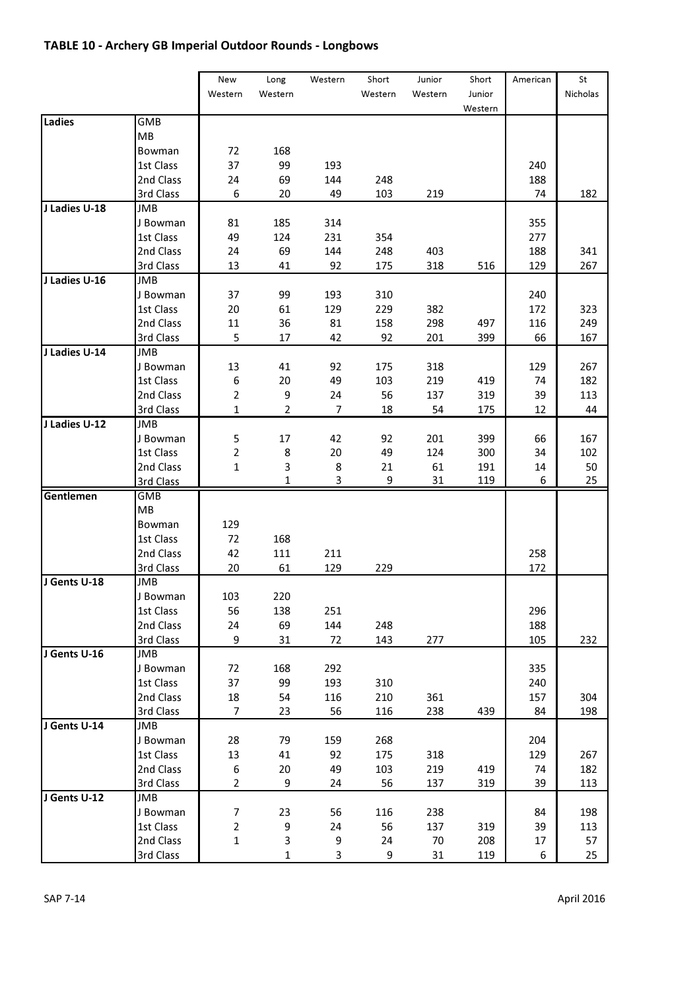## TABLE 10 - Archery GB Imperial Outdoor Rounds - Longbows

|               |                         | New            | Long           | Western | Short   | Junior  | Short   | American | St       |
|---------------|-------------------------|----------------|----------------|---------|---------|---------|---------|----------|----------|
|               |                         | Western        | Western        |         | Western | Western | Junior  |          | Nicholas |
|               |                         |                |                |         |         |         | Western |          |          |
| Ladies        | GMB                     |                |                |         |         |         |         |          |          |
|               | MB                      |                |                |         |         |         |         |          |          |
|               | Bowman                  | 72             | 168            |         |         |         |         |          |          |
|               | 1st Class               | 37             | 99             | 193     |         |         |         | 240      |          |
|               | 2nd Class               | 24             | 69             | 144     | 248     |         |         | 188      |          |
|               | 3rd Class               | 6              | 20             | 49      | 103     | 219     |         | 74       | 182      |
| J Ladies U-18 | JMB                     |                |                |         |         |         |         |          |          |
|               | J Bowman                | 81             | 185            | 314     |         |         |         | 355      |          |
|               | 1st Class               | 49             | 124            | 231     | 354     |         |         | 277      |          |
|               | 2nd Class               | 24             | 69             | 144     | 248     | 403     |         | 188      | 341      |
|               | 3rd Class               | 13             | 41             | 92      | 175     | 318     | 516     | 129      | 267      |
| J Ladies U-16 | <b>JMB</b>              |                |                |         |         |         |         |          |          |
|               | J Bowman                | 37             | 99             | 193     | 310     |         |         | 240      |          |
|               | 1st Class               | 20             | 61             | 129     | 229     | 382     |         | 172      | 323      |
|               | 2nd Class               | 11             | 36             | 81      | 158     | 298     | 497     | 116      | 249      |
|               | 3rd Class               | 5              | 17             | 42      | 92      | 201     | 399     | 66       | 167      |
| J Ladies U-14 | <b>JMB</b>              |                |                |         |         |         |         |          |          |
|               | J Bowman                | 13             | 41             | 92      | 175     | 318     |         | 129      | 267      |
|               | 1st Class               | 6              | 20             | 49      | 103     | 219     | 419     | 74       | 182      |
|               | 2nd Class               | $\overline{2}$ | 9              | 24      | 56      | 137     | 319     | 39       | 113      |
|               | 3rd Class               | $\mathbf{1}$   | $\overline{2}$ | 7       | 18      | 54      | 175     | 12       | 44       |
| J Ladies U-12 | JMB                     |                |                |         |         |         |         |          |          |
|               | J Bowman                | 5              | 17             | 42      | 92      | 201     | 399     | 66       | 167      |
|               | 1st Class               | $\overline{2}$ | 8              | 20      | 49      | 124     | 300     | 34       | 102      |
|               | 2nd Class               | 1              | 3              | 8       | 21      | 61      | 191     | 14       | 50       |
|               | 3rd Class               |                | 1              | 3       | 9       | 31      | 119     | 6        | 25       |
| Gentlemen     | GMB                     |                |                |         |         |         |         |          |          |
|               | MB                      |                |                |         |         |         |         |          |          |
|               | Bowman                  | 129            |                |         |         |         |         |          |          |
|               | 1st Class               | 72             | 168            |         |         |         |         |          |          |
|               | 2nd Class               | 42             | 111            | 211     |         |         |         | 258      |          |
|               | 3rd Class               | 20             | 61             | 129     | 229     |         |         | 172      |          |
| J Gents U-18  | <b>JMB</b>              |                |                |         |         |         |         |          |          |
|               | J Bowman                | 103            | 220            |         |         |         |         |          |          |
|               | 1st Class               | 56             | 138            | 251     |         |         |         | 296      |          |
|               | 2nd Class               | 24             | 69             | 144     | 248     |         |         | 188      |          |
|               | 3rd Class               | 9              | 31             | 72      | 143     | 277     |         | 105      | 232      |
| J Gents U-16  | JMB                     |                |                |         |         |         |         |          |          |
|               | J Bowman                | 72             | 168            | 292     |         |         |         | 335      |          |
|               | 1st Class               | 37             | 99             | 193     | 310     |         |         | 240      |          |
|               | 2nd Class               | 18             | 54             | 116     | 210     | 361     |         | 157      | 304      |
|               | 3rd Class               | 7              | 23             | 56      | 116     | 238     | 439     | 84       | 198      |
| J Gents U-14  | JMB                     |                |                |         |         |         |         |          |          |
|               | J Bowman                | 28             | 79             | 159     | 268     |         |         | 204      |          |
|               | 1st Class               | 13             | 41             | 92      | 175     | 318     |         | 129      | 267      |
|               | 2nd Class               | 6              | 20             | 49      | 103     | 219     | 419     | 74       | 182      |
|               |                         | $\overline{2}$ | 9              |         |         |         |         | 39       |          |
| J Gents U-12  | 3rd Class<br><b>JMB</b> |                |                | 24      | 56      | 137     | 319     |          | 113      |
|               |                         | 7              | 23             | 56      | 116     |         |         | 84       |          |
|               | J Bowman                |                |                |         |         | 238     |         |          | 198      |
|               | 1st Class               | 2              | 9              | 24      | 56      | 137     | 319     | 39       | 113      |
|               | 2nd Class               | $\mathbf 1$    | 3              | 9       | 24      | 70      | 208     | 17       | 57       |
|               | 3rd Class               |                | $\mathbf{1}$   | 3       | 9       | 31      | 119     | 6        | 25       |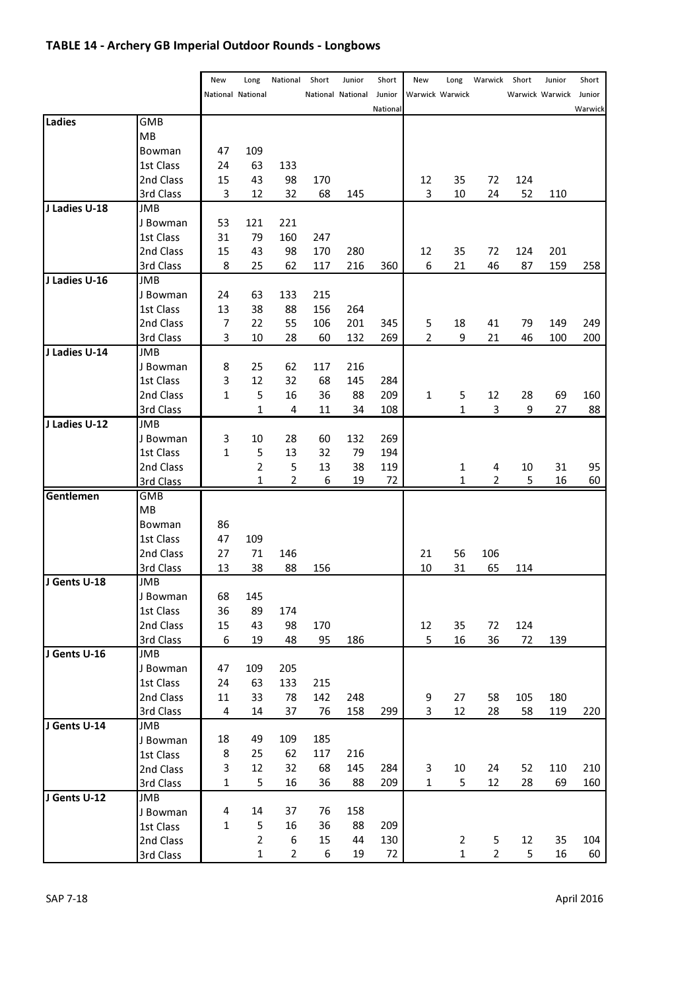# TABLE 14 - Archery GB Imperial Outdoor Rounds - Longbows

| National National<br><b>National National</b><br>Junior<br>Warwick Warwick<br>Warwick Warwick Junior<br>National<br>Ladies<br>GMB<br>MВ<br>47<br>109<br>Bowman<br>1st Class<br>24<br>63<br>133<br>35<br>2nd Class<br>15<br>43<br>98<br>170<br>12<br>72<br>124<br>3rd Class<br>3<br>12<br>32<br>68<br>145<br>3<br>10<br>24<br>52<br>110<br>J Ladies U-18<br><b>JMB</b><br>53<br>121<br>221<br>J Bowman<br>1st Class<br>31<br>79<br>247<br>160<br>43<br>98<br>170<br>35<br>72<br>2nd Class<br>15<br>280<br>12<br>124<br>201<br>3rd Class<br>8<br>25<br>62<br>117<br>216<br>360<br>6<br>21<br>46<br>87<br>159<br>258<br>J Ladies U-16<br>JMB<br>J Bowman<br>24<br>63<br>133<br>215<br>1st Class<br>13<br>38<br>88<br>156<br>264<br>5<br>2nd Class<br>7<br>22<br>55<br>106<br>201<br>345<br>18<br>41<br>79<br>149<br>249<br>3<br>2<br>3rd Class<br>10<br>28<br>60<br>132<br>269<br>9<br>21<br>46<br>100<br>200<br>J Ladies U-14<br>JMB<br>J Bowman<br>8<br>25<br>62<br>117<br>216<br>3<br>1st Class<br>12<br>32<br>68<br>145<br>284<br>2nd Class<br>5<br>209<br>$\mathbf{1}$<br>5<br>12<br>28<br>1<br>16<br>36<br>88<br>69<br>160<br>1<br>3<br>9<br>3rd Class<br>4<br>11<br>34<br>108<br>1<br>27<br>88<br>J Ladies U-12<br><b>JMB</b><br>3<br>J Bowman<br>10<br>28<br>60<br>132<br>269<br>5<br>1st Class<br>1<br>13<br>32<br>79<br>194<br>$\overline{2}$<br>2nd Class<br>5<br>13<br>38<br>119<br>4<br>10<br>95<br>1<br>31<br>$\mathbf{1}$<br>$\overline{2}$<br>19<br>72<br>$\overline{2}$<br>5<br>16<br>60<br>6<br>1<br>3rd Class<br>Gentlemen<br><b>GMB</b><br>MB<br>Bowman<br>86<br>1st Class<br>47<br>109<br>2nd Class<br>27<br>71<br>146<br>21<br>56<br>106<br>10<br>3rd Class<br>13<br>38<br>88<br>156<br>31<br>65<br>114<br>J Gents U-18<br><b>JMB</b><br>J Bowman<br>68<br>145<br>89<br>1st Class<br>36<br>174<br>2nd Class<br>15<br>43<br>98<br>170<br>12<br>35<br>72<br>124<br>5<br>3rd Class<br>6<br>95<br>16<br>36<br>72<br>139<br>19<br>48<br>186<br>J Gents U-16<br>JMB<br>47<br>109<br>205<br>J Bowman<br>1st Class<br>24<br>63<br>133<br>215<br>2nd Class<br>11<br>33<br>78<br>142<br>27<br>58<br>105<br>248<br>9<br>180<br>3<br>3rd Class<br>4<br>14<br>37<br>76<br>158<br>299<br>12<br>28<br>58<br>119<br>220<br>J Gents U-14<br>JMB<br>18<br>49<br>109<br>185<br>J Bowman<br>62<br>117<br>8<br>25<br>216<br>1st Class<br>3<br>32<br>68<br>145<br>3<br>12<br>284<br>10<br>24<br>52<br>110<br>210<br>2nd Class<br>$\mathbf 1$<br>5<br>5<br>16<br>36<br>88<br>209<br>1<br>12<br>28<br>69<br>160<br>3rd Class<br>J Gents U-12<br><b>JMB</b><br>4<br>14<br>37<br>76<br>158<br>J Bowman<br>5<br>1<br>16<br>36<br>88<br>209<br>1st Class<br>$\overline{2}$<br>6<br>15<br>44<br>130<br>2<br>5<br>12<br>104<br>35<br>2nd Class<br>$\mathbf{1}$<br>$\overline{2}$<br>6<br>19<br>72<br>$\mathbf{1}$<br>5<br>60<br>2<br>16<br>3rd Class |  | New | Long | National | Short | Junior | Short | New | Long | Warwick | Short | Junior | Short |
|-------------------------------------------------------------------------------------------------------------------------------------------------------------------------------------------------------------------------------------------------------------------------------------------------------------------------------------------------------------------------------------------------------------------------------------------------------------------------------------------------------------------------------------------------------------------------------------------------------------------------------------------------------------------------------------------------------------------------------------------------------------------------------------------------------------------------------------------------------------------------------------------------------------------------------------------------------------------------------------------------------------------------------------------------------------------------------------------------------------------------------------------------------------------------------------------------------------------------------------------------------------------------------------------------------------------------------------------------------------------------------------------------------------------------------------------------------------------------------------------------------------------------------------------------------------------------------------------------------------------------------------------------------------------------------------------------------------------------------------------------------------------------------------------------------------------------------------------------------------------------------------------------------------------------------------------------------------------------------------------------------------------------------------------------------------------------------------------------------------------------------------------------------------------------------------------------------------------------------------------------------------------------------------------------------------------------------------------------------------------------------------------------------------------------------------------------------------------------------------------------------------------------------------------------------------------------------------------------------------------------------------------------------------------------------------------------------------------------------------------------------------------------------------------------------------------------------------------|--|-----|------|----------|-------|--------|-------|-----|------|---------|-------|--------|-------|
| Warwick                                                                                                                                                                                                                                                                                                                                                                                                                                                                                                                                                                                                                                                                                                                                                                                                                                                                                                                                                                                                                                                                                                                                                                                                                                                                                                                                                                                                                                                                                                                                                                                                                                                                                                                                                                                                                                                                                                                                                                                                                                                                                                                                                                                                                                                                                                                                                                                                                                                                                                                                                                                                                                                                                                                                                                                                                                   |  |     |      |          |       |        |       |     |      |         |       |        |       |
|                                                                                                                                                                                                                                                                                                                                                                                                                                                                                                                                                                                                                                                                                                                                                                                                                                                                                                                                                                                                                                                                                                                                                                                                                                                                                                                                                                                                                                                                                                                                                                                                                                                                                                                                                                                                                                                                                                                                                                                                                                                                                                                                                                                                                                                                                                                                                                                                                                                                                                                                                                                                                                                                                                                                                                                                                                           |  |     |      |          |       |        |       |     |      |         |       |        |       |
|                                                                                                                                                                                                                                                                                                                                                                                                                                                                                                                                                                                                                                                                                                                                                                                                                                                                                                                                                                                                                                                                                                                                                                                                                                                                                                                                                                                                                                                                                                                                                                                                                                                                                                                                                                                                                                                                                                                                                                                                                                                                                                                                                                                                                                                                                                                                                                                                                                                                                                                                                                                                                                                                                                                                                                                                                                           |  |     |      |          |       |        |       |     |      |         |       |        |       |
|                                                                                                                                                                                                                                                                                                                                                                                                                                                                                                                                                                                                                                                                                                                                                                                                                                                                                                                                                                                                                                                                                                                                                                                                                                                                                                                                                                                                                                                                                                                                                                                                                                                                                                                                                                                                                                                                                                                                                                                                                                                                                                                                                                                                                                                                                                                                                                                                                                                                                                                                                                                                                                                                                                                                                                                                                                           |  |     |      |          |       |        |       |     |      |         |       |        |       |
|                                                                                                                                                                                                                                                                                                                                                                                                                                                                                                                                                                                                                                                                                                                                                                                                                                                                                                                                                                                                                                                                                                                                                                                                                                                                                                                                                                                                                                                                                                                                                                                                                                                                                                                                                                                                                                                                                                                                                                                                                                                                                                                                                                                                                                                                                                                                                                                                                                                                                                                                                                                                                                                                                                                                                                                                                                           |  |     |      |          |       |        |       |     |      |         |       |        |       |
|                                                                                                                                                                                                                                                                                                                                                                                                                                                                                                                                                                                                                                                                                                                                                                                                                                                                                                                                                                                                                                                                                                                                                                                                                                                                                                                                                                                                                                                                                                                                                                                                                                                                                                                                                                                                                                                                                                                                                                                                                                                                                                                                                                                                                                                                                                                                                                                                                                                                                                                                                                                                                                                                                                                                                                                                                                           |  |     |      |          |       |        |       |     |      |         |       |        |       |
|                                                                                                                                                                                                                                                                                                                                                                                                                                                                                                                                                                                                                                                                                                                                                                                                                                                                                                                                                                                                                                                                                                                                                                                                                                                                                                                                                                                                                                                                                                                                                                                                                                                                                                                                                                                                                                                                                                                                                                                                                                                                                                                                                                                                                                                                                                                                                                                                                                                                                                                                                                                                                                                                                                                                                                                                                                           |  |     |      |          |       |        |       |     |      |         |       |        |       |
|                                                                                                                                                                                                                                                                                                                                                                                                                                                                                                                                                                                                                                                                                                                                                                                                                                                                                                                                                                                                                                                                                                                                                                                                                                                                                                                                                                                                                                                                                                                                                                                                                                                                                                                                                                                                                                                                                                                                                                                                                                                                                                                                                                                                                                                                                                                                                                                                                                                                                                                                                                                                                                                                                                                                                                                                                                           |  |     |      |          |       |        |       |     |      |         |       |        |       |
|                                                                                                                                                                                                                                                                                                                                                                                                                                                                                                                                                                                                                                                                                                                                                                                                                                                                                                                                                                                                                                                                                                                                                                                                                                                                                                                                                                                                                                                                                                                                                                                                                                                                                                                                                                                                                                                                                                                                                                                                                                                                                                                                                                                                                                                                                                                                                                                                                                                                                                                                                                                                                                                                                                                                                                                                                                           |  |     |      |          |       |        |       |     |      |         |       |        |       |
|                                                                                                                                                                                                                                                                                                                                                                                                                                                                                                                                                                                                                                                                                                                                                                                                                                                                                                                                                                                                                                                                                                                                                                                                                                                                                                                                                                                                                                                                                                                                                                                                                                                                                                                                                                                                                                                                                                                                                                                                                                                                                                                                                                                                                                                                                                                                                                                                                                                                                                                                                                                                                                                                                                                                                                                                                                           |  |     |      |          |       |        |       |     |      |         |       |        |       |
|                                                                                                                                                                                                                                                                                                                                                                                                                                                                                                                                                                                                                                                                                                                                                                                                                                                                                                                                                                                                                                                                                                                                                                                                                                                                                                                                                                                                                                                                                                                                                                                                                                                                                                                                                                                                                                                                                                                                                                                                                                                                                                                                                                                                                                                                                                                                                                                                                                                                                                                                                                                                                                                                                                                                                                                                                                           |  |     |      |          |       |        |       |     |      |         |       |        |       |
|                                                                                                                                                                                                                                                                                                                                                                                                                                                                                                                                                                                                                                                                                                                                                                                                                                                                                                                                                                                                                                                                                                                                                                                                                                                                                                                                                                                                                                                                                                                                                                                                                                                                                                                                                                                                                                                                                                                                                                                                                                                                                                                                                                                                                                                                                                                                                                                                                                                                                                                                                                                                                                                                                                                                                                                                                                           |  |     |      |          |       |        |       |     |      |         |       |        |       |
|                                                                                                                                                                                                                                                                                                                                                                                                                                                                                                                                                                                                                                                                                                                                                                                                                                                                                                                                                                                                                                                                                                                                                                                                                                                                                                                                                                                                                                                                                                                                                                                                                                                                                                                                                                                                                                                                                                                                                                                                                                                                                                                                                                                                                                                                                                                                                                                                                                                                                                                                                                                                                                                                                                                                                                                                                                           |  |     |      |          |       |        |       |     |      |         |       |        |       |
|                                                                                                                                                                                                                                                                                                                                                                                                                                                                                                                                                                                                                                                                                                                                                                                                                                                                                                                                                                                                                                                                                                                                                                                                                                                                                                                                                                                                                                                                                                                                                                                                                                                                                                                                                                                                                                                                                                                                                                                                                                                                                                                                                                                                                                                                                                                                                                                                                                                                                                                                                                                                                                                                                                                                                                                                                                           |  |     |      |          |       |        |       |     |      |         |       |        |       |
|                                                                                                                                                                                                                                                                                                                                                                                                                                                                                                                                                                                                                                                                                                                                                                                                                                                                                                                                                                                                                                                                                                                                                                                                                                                                                                                                                                                                                                                                                                                                                                                                                                                                                                                                                                                                                                                                                                                                                                                                                                                                                                                                                                                                                                                                                                                                                                                                                                                                                                                                                                                                                                                                                                                                                                                                                                           |  |     |      |          |       |        |       |     |      |         |       |        |       |
|                                                                                                                                                                                                                                                                                                                                                                                                                                                                                                                                                                                                                                                                                                                                                                                                                                                                                                                                                                                                                                                                                                                                                                                                                                                                                                                                                                                                                                                                                                                                                                                                                                                                                                                                                                                                                                                                                                                                                                                                                                                                                                                                                                                                                                                                                                                                                                                                                                                                                                                                                                                                                                                                                                                                                                                                                                           |  |     |      |          |       |        |       |     |      |         |       |        |       |
|                                                                                                                                                                                                                                                                                                                                                                                                                                                                                                                                                                                                                                                                                                                                                                                                                                                                                                                                                                                                                                                                                                                                                                                                                                                                                                                                                                                                                                                                                                                                                                                                                                                                                                                                                                                                                                                                                                                                                                                                                                                                                                                                                                                                                                                                                                                                                                                                                                                                                                                                                                                                                                                                                                                                                                                                                                           |  |     |      |          |       |        |       |     |      |         |       |        |       |
|                                                                                                                                                                                                                                                                                                                                                                                                                                                                                                                                                                                                                                                                                                                                                                                                                                                                                                                                                                                                                                                                                                                                                                                                                                                                                                                                                                                                                                                                                                                                                                                                                                                                                                                                                                                                                                                                                                                                                                                                                                                                                                                                                                                                                                                                                                                                                                                                                                                                                                                                                                                                                                                                                                                                                                                                                                           |  |     |      |          |       |        |       |     |      |         |       |        |       |
|                                                                                                                                                                                                                                                                                                                                                                                                                                                                                                                                                                                                                                                                                                                                                                                                                                                                                                                                                                                                                                                                                                                                                                                                                                                                                                                                                                                                                                                                                                                                                                                                                                                                                                                                                                                                                                                                                                                                                                                                                                                                                                                                                                                                                                                                                                                                                                                                                                                                                                                                                                                                                                                                                                                                                                                                                                           |  |     |      |          |       |        |       |     |      |         |       |        |       |
|                                                                                                                                                                                                                                                                                                                                                                                                                                                                                                                                                                                                                                                                                                                                                                                                                                                                                                                                                                                                                                                                                                                                                                                                                                                                                                                                                                                                                                                                                                                                                                                                                                                                                                                                                                                                                                                                                                                                                                                                                                                                                                                                                                                                                                                                                                                                                                                                                                                                                                                                                                                                                                                                                                                                                                                                                                           |  |     |      |          |       |        |       |     |      |         |       |        |       |
|                                                                                                                                                                                                                                                                                                                                                                                                                                                                                                                                                                                                                                                                                                                                                                                                                                                                                                                                                                                                                                                                                                                                                                                                                                                                                                                                                                                                                                                                                                                                                                                                                                                                                                                                                                                                                                                                                                                                                                                                                                                                                                                                                                                                                                                                                                                                                                                                                                                                                                                                                                                                                                                                                                                                                                                                                                           |  |     |      |          |       |        |       |     |      |         |       |        |       |
|                                                                                                                                                                                                                                                                                                                                                                                                                                                                                                                                                                                                                                                                                                                                                                                                                                                                                                                                                                                                                                                                                                                                                                                                                                                                                                                                                                                                                                                                                                                                                                                                                                                                                                                                                                                                                                                                                                                                                                                                                                                                                                                                                                                                                                                                                                                                                                                                                                                                                                                                                                                                                                                                                                                                                                                                                                           |  |     |      |          |       |        |       |     |      |         |       |        |       |
|                                                                                                                                                                                                                                                                                                                                                                                                                                                                                                                                                                                                                                                                                                                                                                                                                                                                                                                                                                                                                                                                                                                                                                                                                                                                                                                                                                                                                                                                                                                                                                                                                                                                                                                                                                                                                                                                                                                                                                                                                                                                                                                                                                                                                                                                                                                                                                                                                                                                                                                                                                                                                                                                                                                                                                                                                                           |  |     |      |          |       |        |       |     |      |         |       |        |       |
|                                                                                                                                                                                                                                                                                                                                                                                                                                                                                                                                                                                                                                                                                                                                                                                                                                                                                                                                                                                                                                                                                                                                                                                                                                                                                                                                                                                                                                                                                                                                                                                                                                                                                                                                                                                                                                                                                                                                                                                                                                                                                                                                                                                                                                                                                                                                                                                                                                                                                                                                                                                                                                                                                                                                                                                                                                           |  |     |      |          |       |        |       |     |      |         |       |        |       |
|                                                                                                                                                                                                                                                                                                                                                                                                                                                                                                                                                                                                                                                                                                                                                                                                                                                                                                                                                                                                                                                                                                                                                                                                                                                                                                                                                                                                                                                                                                                                                                                                                                                                                                                                                                                                                                                                                                                                                                                                                                                                                                                                                                                                                                                                                                                                                                                                                                                                                                                                                                                                                                                                                                                                                                                                                                           |  |     |      |          |       |        |       |     |      |         |       |        |       |
|                                                                                                                                                                                                                                                                                                                                                                                                                                                                                                                                                                                                                                                                                                                                                                                                                                                                                                                                                                                                                                                                                                                                                                                                                                                                                                                                                                                                                                                                                                                                                                                                                                                                                                                                                                                                                                                                                                                                                                                                                                                                                                                                                                                                                                                                                                                                                                                                                                                                                                                                                                                                                                                                                                                                                                                                                                           |  |     |      |          |       |        |       |     |      |         |       |        |       |
|                                                                                                                                                                                                                                                                                                                                                                                                                                                                                                                                                                                                                                                                                                                                                                                                                                                                                                                                                                                                                                                                                                                                                                                                                                                                                                                                                                                                                                                                                                                                                                                                                                                                                                                                                                                                                                                                                                                                                                                                                                                                                                                                                                                                                                                                                                                                                                                                                                                                                                                                                                                                                                                                                                                                                                                                                                           |  |     |      |          |       |        |       |     |      |         |       |        |       |
|                                                                                                                                                                                                                                                                                                                                                                                                                                                                                                                                                                                                                                                                                                                                                                                                                                                                                                                                                                                                                                                                                                                                                                                                                                                                                                                                                                                                                                                                                                                                                                                                                                                                                                                                                                                                                                                                                                                                                                                                                                                                                                                                                                                                                                                                                                                                                                                                                                                                                                                                                                                                                                                                                                                                                                                                                                           |  |     |      |          |       |        |       |     |      |         |       |        |       |
|                                                                                                                                                                                                                                                                                                                                                                                                                                                                                                                                                                                                                                                                                                                                                                                                                                                                                                                                                                                                                                                                                                                                                                                                                                                                                                                                                                                                                                                                                                                                                                                                                                                                                                                                                                                                                                                                                                                                                                                                                                                                                                                                                                                                                                                                                                                                                                                                                                                                                                                                                                                                                                                                                                                                                                                                                                           |  |     |      |          |       |        |       |     |      |         |       |        |       |
|                                                                                                                                                                                                                                                                                                                                                                                                                                                                                                                                                                                                                                                                                                                                                                                                                                                                                                                                                                                                                                                                                                                                                                                                                                                                                                                                                                                                                                                                                                                                                                                                                                                                                                                                                                                                                                                                                                                                                                                                                                                                                                                                                                                                                                                                                                                                                                                                                                                                                                                                                                                                                                                                                                                                                                                                                                           |  |     |      |          |       |        |       |     |      |         |       |        |       |
|                                                                                                                                                                                                                                                                                                                                                                                                                                                                                                                                                                                                                                                                                                                                                                                                                                                                                                                                                                                                                                                                                                                                                                                                                                                                                                                                                                                                                                                                                                                                                                                                                                                                                                                                                                                                                                                                                                                                                                                                                                                                                                                                                                                                                                                                                                                                                                                                                                                                                                                                                                                                                                                                                                                                                                                                                                           |  |     |      |          |       |        |       |     |      |         |       |        |       |
|                                                                                                                                                                                                                                                                                                                                                                                                                                                                                                                                                                                                                                                                                                                                                                                                                                                                                                                                                                                                                                                                                                                                                                                                                                                                                                                                                                                                                                                                                                                                                                                                                                                                                                                                                                                                                                                                                                                                                                                                                                                                                                                                                                                                                                                                                                                                                                                                                                                                                                                                                                                                                                                                                                                                                                                                                                           |  |     |      |          |       |        |       |     |      |         |       |        |       |
|                                                                                                                                                                                                                                                                                                                                                                                                                                                                                                                                                                                                                                                                                                                                                                                                                                                                                                                                                                                                                                                                                                                                                                                                                                                                                                                                                                                                                                                                                                                                                                                                                                                                                                                                                                                                                                                                                                                                                                                                                                                                                                                                                                                                                                                                                                                                                                                                                                                                                                                                                                                                                                                                                                                                                                                                                                           |  |     |      |          |       |        |       |     |      |         |       |        |       |
|                                                                                                                                                                                                                                                                                                                                                                                                                                                                                                                                                                                                                                                                                                                                                                                                                                                                                                                                                                                                                                                                                                                                                                                                                                                                                                                                                                                                                                                                                                                                                                                                                                                                                                                                                                                                                                                                                                                                                                                                                                                                                                                                                                                                                                                                                                                                                                                                                                                                                                                                                                                                                                                                                                                                                                                                                                           |  |     |      |          |       |        |       |     |      |         |       |        |       |
|                                                                                                                                                                                                                                                                                                                                                                                                                                                                                                                                                                                                                                                                                                                                                                                                                                                                                                                                                                                                                                                                                                                                                                                                                                                                                                                                                                                                                                                                                                                                                                                                                                                                                                                                                                                                                                                                                                                                                                                                                                                                                                                                                                                                                                                                                                                                                                                                                                                                                                                                                                                                                                                                                                                                                                                                                                           |  |     |      |          |       |        |       |     |      |         |       |        |       |
|                                                                                                                                                                                                                                                                                                                                                                                                                                                                                                                                                                                                                                                                                                                                                                                                                                                                                                                                                                                                                                                                                                                                                                                                                                                                                                                                                                                                                                                                                                                                                                                                                                                                                                                                                                                                                                                                                                                                                                                                                                                                                                                                                                                                                                                                                                                                                                                                                                                                                                                                                                                                                                                                                                                                                                                                                                           |  |     |      |          |       |        |       |     |      |         |       |        |       |
|                                                                                                                                                                                                                                                                                                                                                                                                                                                                                                                                                                                                                                                                                                                                                                                                                                                                                                                                                                                                                                                                                                                                                                                                                                                                                                                                                                                                                                                                                                                                                                                                                                                                                                                                                                                                                                                                                                                                                                                                                                                                                                                                                                                                                                                                                                                                                                                                                                                                                                                                                                                                                                                                                                                                                                                                                                           |  |     |      |          |       |        |       |     |      |         |       |        |       |
|                                                                                                                                                                                                                                                                                                                                                                                                                                                                                                                                                                                                                                                                                                                                                                                                                                                                                                                                                                                                                                                                                                                                                                                                                                                                                                                                                                                                                                                                                                                                                                                                                                                                                                                                                                                                                                                                                                                                                                                                                                                                                                                                                                                                                                                                                                                                                                                                                                                                                                                                                                                                                                                                                                                                                                                                                                           |  |     |      |          |       |        |       |     |      |         |       |        |       |
|                                                                                                                                                                                                                                                                                                                                                                                                                                                                                                                                                                                                                                                                                                                                                                                                                                                                                                                                                                                                                                                                                                                                                                                                                                                                                                                                                                                                                                                                                                                                                                                                                                                                                                                                                                                                                                                                                                                                                                                                                                                                                                                                                                                                                                                                                                                                                                                                                                                                                                                                                                                                                                                                                                                                                                                                                                           |  |     |      |          |       |        |       |     |      |         |       |        |       |
|                                                                                                                                                                                                                                                                                                                                                                                                                                                                                                                                                                                                                                                                                                                                                                                                                                                                                                                                                                                                                                                                                                                                                                                                                                                                                                                                                                                                                                                                                                                                                                                                                                                                                                                                                                                                                                                                                                                                                                                                                                                                                                                                                                                                                                                                                                                                                                                                                                                                                                                                                                                                                                                                                                                                                                                                                                           |  |     |      |          |       |        |       |     |      |         |       |        |       |
|                                                                                                                                                                                                                                                                                                                                                                                                                                                                                                                                                                                                                                                                                                                                                                                                                                                                                                                                                                                                                                                                                                                                                                                                                                                                                                                                                                                                                                                                                                                                                                                                                                                                                                                                                                                                                                                                                                                                                                                                                                                                                                                                                                                                                                                                                                                                                                                                                                                                                                                                                                                                                                                                                                                                                                                                                                           |  |     |      |          |       |        |       |     |      |         |       |        |       |
|                                                                                                                                                                                                                                                                                                                                                                                                                                                                                                                                                                                                                                                                                                                                                                                                                                                                                                                                                                                                                                                                                                                                                                                                                                                                                                                                                                                                                                                                                                                                                                                                                                                                                                                                                                                                                                                                                                                                                                                                                                                                                                                                                                                                                                                                                                                                                                                                                                                                                                                                                                                                                                                                                                                                                                                                                                           |  |     |      |          |       |        |       |     |      |         |       |        |       |
|                                                                                                                                                                                                                                                                                                                                                                                                                                                                                                                                                                                                                                                                                                                                                                                                                                                                                                                                                                                                                                                                                                                                                                                                                                                                                                                                                                                                                                                                                                                                                                                                                                                                                                                                                                                                                                                                                                                                                                                                                                                                                                                                                                                                                                                                                                                                                                                                                                                                                                                                                                                                                                                                                                                                                                                                                                           |  |     |      |          |       |        |       |     |      |         |       |        |       |
|                                                                                                                                                                                                                                                                                                                                                                                                                                                                                                                                                                                                                                                                                                                                                                                                                                                                                                                                                                                                                                                                                                                                                                                                                                                                                                                                                                                                                                                                                                                                                                                                                                                                                                                                                                                                                                                                                                                                                                                                                                                                                                                                                                                                                                                                                                                                                                                                                                                                                                                                                                                                                                                                                                                                                                                                                                           |  |     |      |          |       |        |       |     |      |         |       |        |       |
|                                                                                                                                                                                                                                                                                                                                                                                                                                                                                                                                                                                                                                                                                                                                                                                                                                                                                                                                                                                                                                                                                                                                                                                                                                                                                                                                                                                                                                                                                                                                                                                                                                                                                                                                                                                                                                                                                                                                                                                                                                                                                                                                                                                                                                                                                                                                                                                                                                                                                                                                                                                                                                                                                                                                                                                                                                           |  |     |      |          |       |        |       |     |      |         |       |        |       |
|                                                                                                                                                                                                                                                                                                                                                                                                                                                                                                                                                                                                                                                                                                                                                                                                                                                                                                                                                                                                                                                                                                                                                                                                                                                                                                                                                                                                                                                                                                                                                                                                                                                                                                                                                                                                                                                                                                                                                                                                                                                                                                                                                                                                                                                                                                                                                                                                                                                                                                                                                                                                                                                                                                                                                                                                                                           |  |     |      |          |       |        |       |     |      |         |       |        |       |
|                                                                                                                                                                                                                                                                                                                                                                                                                                                                                                                                                                                                                                                                                                                                                                                                                                                                                                                                                                                                                                                                                                                                                                                                                                                                                                                                                                                                                                                                                                                                                                                                                                                                                                                                                                                                                                                                                                                                                                                                                                                                                                                                                                                                                                                                                                                                                                                                                                                                                                                                                                                                                                                                                                                                                                                                                                           |  |     |      |          |       |        |       |     |      |         |       |        |       |
|                                                                                                                                                                                                                                                                                                                                                                                                                                                                                                                                                                                                                                                                                                                                                                                                                                                                                                                                                                                                                                                                                                                                                                                                                                                                                                                                                                                                                                                                                                                                                                                                                                                                                                                                                                                                                                                                                                                                                                                                                                                                                                                                                                                                                                                                                                                                                                                                                                                                                                                                                                                                                                                                                                                                                                                                                                           |  |     |      |          |       |        |       |     |      |         |       |        |       |
|                                                                                                                                                                                                                                                                                                                                                                                                                                                                                                                                                                                                                                                                                                                                                                                                                                                                                                                                                                                                                                                                                                                                                                                                                                                                                                                                                                                                                                                                                                                                                                                                                                                                                                                                                                                                                                                                                                                                                                                                                                                                                                                                                                                                                                                                                                                                                                                                                                                                                                                                                                                                                                                                                                                                                                                                                                           |  |     |      |          |       |        |       |     |      |         |       |        |       |
|                                                                                                                                                                                                                                                                                                                                                                                                                                                                                                                                                                                                                                                                                                                                                                                                                                                                                                                                                                                                                                                                                                                                                                                                                                                                                                                                                                                                                                                                                                                                                                                                                                                                                                                                                                                                                                                                                                                                                                                                                                                                                                                                                                                                                                                                                                                                                                                                                                                                                                                                                                                                                                                                                                                                                                                                                                           |  |     |      |          |       |        |       |     |      |         |       |        |       |
|                                                                                                                                                                                                                                                                                                                                                                                                                                                                                                                                                                                                                                                                                                                                                                                                                                                                                                                                                                                                                                                                                                                                                                                                                                                                                                                                                                                                                                                                                                                                                                                                                                                                                                                                                                                                                                                                                                                                                                                                                                                                                                                                                                                                                                                                                                                                                                                                                                                                                                                                                                                                                                                                                                                                                                                                                                           |  |     |      |          |       |        |       |     |      |         |       |        |       |
|                                                                                                                                                                                                                                                                                                                                                                                                                                                                                                                                                                                                                                                                                                                                                                                                                                                                                                                                                                                                                                                                                                                                                                                                                                                                                                                                                                                                                                                                                                                                                                                                                                                                                                                                                                                                                                                                                                                                                                                                                                                                                                                                                                                                                                                                                                                                                                                                                                                                                                                                                                                                                                                                                                                                                                                                                                           |  |     |      |          |       |        |       |     |      |         |       |        |       |
|                                                                                                                                                                                                                                                                                                                                                                                                                                                                                                                                                                                                                                                                                                                                                                                                                                                                                                                                                                                                                                                                                                                                                                                                                                                                                                                                                                                                                                                                                                                                                                                                                                                                                                                                                                                                                                                                                                                                                                                                                                                                                                                                                                                                                                                                                                                                                                                                                                                                                                                                                                                                                                                                                                                                                                                                                                           |  |     |      |          |       |        |       |     |      |         |       |        |       |
|                                                                                                                                                                                                                                                                                                                                                                                                                                                                                                                                                                                                                                                                                                                                                                                                                                                                                                                                                                                                                                                                                                                                                                                                                                                                                                                                                                                                                                                                                                                                                                                                                                                                                                                                                                                                                                                                                                                                                                                                                                                                                                                                                                                                                                                                                                                                                                                                                                                                                                                                                                                                                                                                                                                                                                                                                                           |  |     |      |          |       |        |       |     |      |         |       |        |       |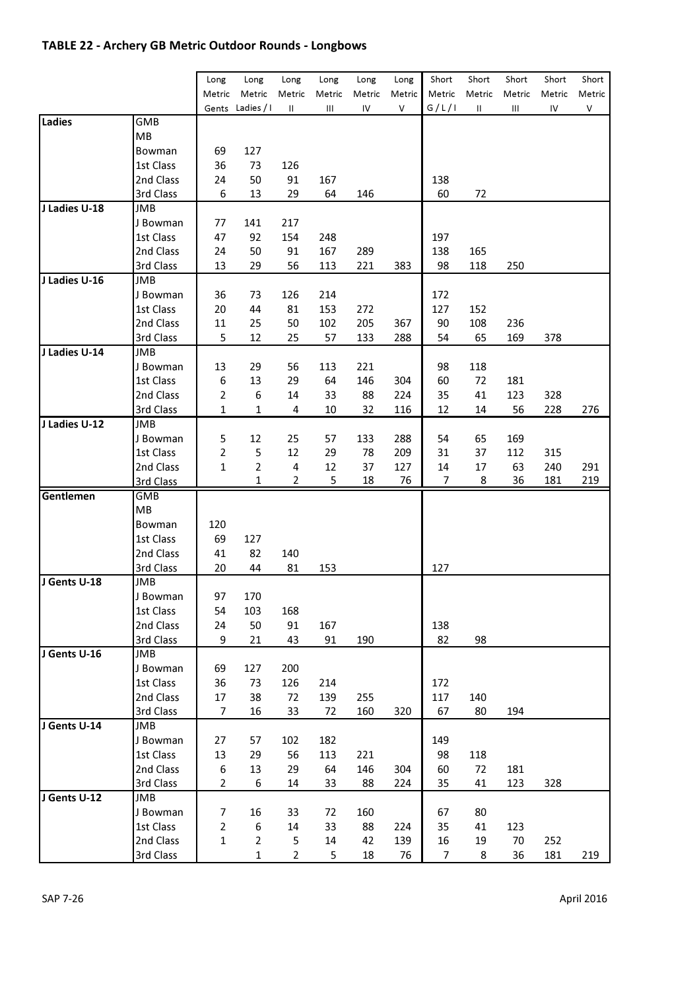## TABLE 22 - Archery GB Metric Outdoor Rounds - Longbows

|               |                       |                |                  |                |             |                |                | Short  |                 | Short  |                 | Short  |
|---------------|-----------------------|----------------|------------------|----------------|-------------|----------------|----------------|--------|-----------------|--------|-----------------|--------|
|               |                       | Long<br>Metric | Long<br>Metric   | Long<br>Metric | Long        | Long<br>Metric | Long<br>Metric | Metric | Short<br>Metric | Metric | Short<br>Metric | Metric |
|               |                       |                | Gents Ladies / I | Ш              | Metric<br>Ш | IV             | ٧              | G/L/I  | $\sf II$        | Ш      | IV              | ٧      |
| Ladies        | GMB                   |                |                  |                |             |                |                |        |                 |        |                 |        |
|               | MВ                    |                |                  |                |             |                |                |        |                 |        |                 |        |
|               | Bowman                | 69             | 127              |                |             |                |                |        |                 |        |                 |        |
|               | 1st Class             | 36             | 73               | 126            |             |                |                |        |                 |        |                 |        |
|               | 2nd Class             | 24             | 50               | 91             | 167         |                |                | 138    |                 |        |                 |        |
|               |                       | 6              |                  | 29             |             |                |                |        |                 |        |                 |        |
| J Ladies U-18 | 3rd Class<br>JMB      |                | 13               |                | 64          | 146            |                | 60     | 72              |        |                 |        |
|               |                       | 77             | 141              | 217            |             |                |                |        |                 |        |                 |        |
|               | J Bowman<br>1st Class | 47             | 92               | 154            | 248         |                |                | 197    |                 |        |                 |        |
|               |                       |                |                  |                |             |                |                |        |                 |        |                 |        |
|               | 2nd Class             | 24             | 50               | 91             | 167         | 289            |                | 138    | 165             |        |                 |        |
|               | 3rd Class             | 13             | 29               | 56             | 113         | 221            | 383            | 98     | 118             | 250    |                 |        |
| J Ladies U-16 | JMB                   |                |                  |                |             |                |                |        |                 |        |                 |        |
|               | J Bowman              | 36             | 73               | 126            | 214         |                |                | 172    |                 |        |                 |        |
|               | 1st Class             | 20             | 44               | 81             | 153         | 272            |                | 127    | 152             |        |                 |        |
|               | 2nd Class             | 11             | 25               | 50             | 102         | 205            | 367            | 90     | 108             | 236    |                 |        |
|               | 3rd Class             | 5              | 12               | 25             | 57          | 133            | 288            | 54     | 65              | 169    | 378             |        |
| J Ladies U-14 | JMB                   |                |                  |                |             |                |                |        |                 |        |                 |        |
|               | J Bowman              | 13             | 29               | 56             | 113         | 221            |                | 98     | 118             |        |                 |        |
|               | 1st Class             | 6              | 13               | 29             | 64          | 146            | 304            | 60     | 72              | 181    |                 |        |
|               | 2nd Class             | 2              | 6                | 14             | 33          | 88             | 224            | 35     | 41              | 123    | 328             |        |
|               | 3rd Class             | $\mathbf{1}$   | 1                | 4              | 10          | 32             | 116            | 12     | 14              | 56     | 228             | 276    |
| J Ladies U-12 | JMB                   |                |                  |                |             |                |                |        |                 |        |                 |        |
|               | J Bowman              | 5              | 12               | 25             | 57          | 133            | 288            | 54     | 65              | 169    |                 |        |
|               | 1st Class             | 2              | 5                | 12             | 29          | 78             | 209            | 31     | 37              | 112    | 315             |        |
|               | 2nd Class             | 1              | $\overline{2}$   | 4              | 12          | 37             | 127            | 14     | 17              | 63     | 240             | 291    |
|               | 3rd Class             |                | 1                | 2              | 5           | 18             | 76             | 7      | 8               | 36     | 181             | 219    |
| Gentlemen     | <b>GMB</b>            |                |                  |                |             |                |                |        |                 |        |                 |        |
|               | МB                    |                |                  |                |             |                |                |        |                 |        |                 |        |
|               | Bowman                | 120            |                  |                |             |                |                |        |                 |        |                 |        |
|               | 1st Class             | 69             | 127              |                |             |                |                |        |                 |        |                 |        |
|               | 2nd Class             | 41             | 82               | 140            |             |                |                |        |                 |        |                 |        |
|               | 3rd Class             | 20             | 44               | 81             | 153         |                |                | 127    |                 |        |                 |        |
| J Gents U-18  | JMB                   |                |                  |                |             |                |                |        |                 |        |                 |        |
|               | J Bowman              | 97             | 170              |                |             |                |                |        |                 |        |                 |        |
|               | 1st Class             | 54             | 103              | 168            |             |                |                |        |                 |        |                 |        |
|               | 2nd Class             | 24             | 50               | 91             | 167         |                |                | 138    |                 |        |                 |        |
|               | 3rd Class             | 9              | 21               | 43             | 91          | 190            |                | 82     | 98              |        |                 |        |
| J Gents U-16  | JMB                   |                |                  |                |             |                |                |        |                 |        |                 |        |
|               | J Bowman              | 69             | 127              | 200            |             |                |                |        |                 |        |                 |        |
|               | 1st Class             | 36             | 73               | 126            | 214         |                |                | 172    |                 |        |                 |        |
|               | 2nd Class             | 17             | 38               | 72             | 139         | 255            |                | 117    | 140             |        |                 |        |
|               | 3rd Class             | 7              | 16               | 33             | 72          | 160            | 320            | 67     | 80              | 194    |                 |        |
| J Gents U-14  | JMB                   |                |                  |                |             |                |                |        |                 |        |                 |        |
|               | J Bowman              | 27             | 57               | 102            | 182         |                |                | 149    |                 |        |                 |        |
|               | 1st Class             | 13             | 29               | 56             | 113         | 221            |                | 98     | 118             |        |                 |        |
|               | 2nd Class             | 6              | 13               | 29             | 64          | 146            | 304            | 60     | 72              | 181    |                 |        |
|               | 3rd Class             | 2              | 6                | 14             | 33          | 88             | 224            | 35     | 41              | 123    | 328             |        |
| J Gents U-12  | JMB                   |                |                  |                |             |                |                |        |                 |        |                 |        |
|               | J Bowman              | 7              | 16               | 33             | 72          | 160            |                | 67     | 80              |        |                 |        |
|               | 1st Class             | 2              | 6                | 14             | 33          | 88             | 224            | 35     | 41              | 123    |                 |        |
|               | 2nd Class             | 1              | $\overline{2}$   | 5              | 14          | 42             | 139            | 16     | 19              | 70     | 252             |        |
|               | 3rd Class             |                | 1                | $\overline{2}$ | 5           | 18             | 76             | 7      | 8               | 36     | 181             | 219    |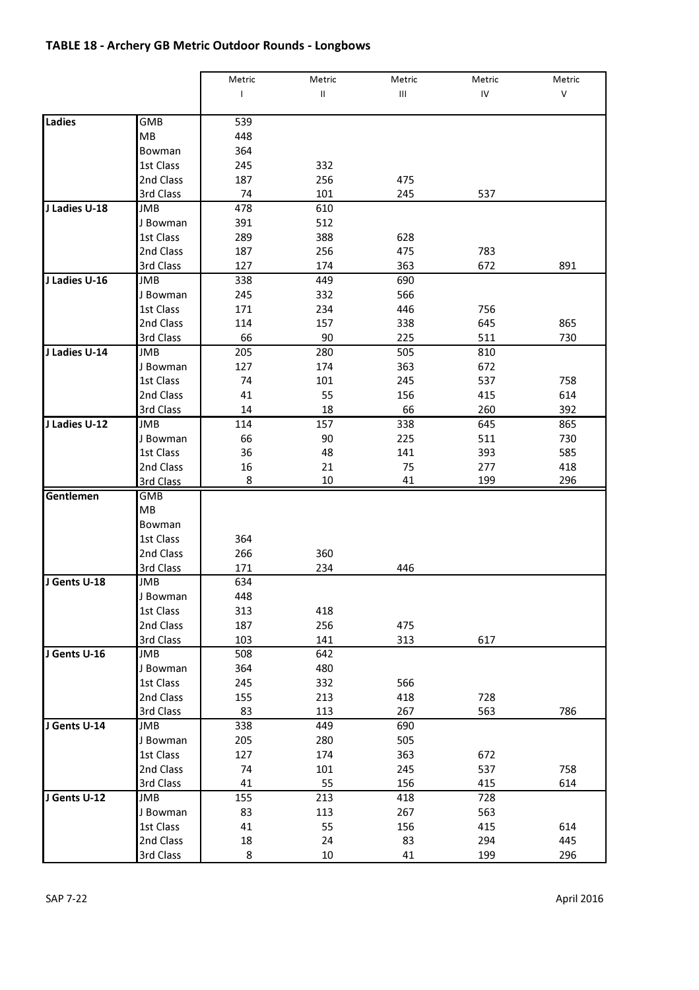# TABLE 18 - Archery GB Metric Outdoor Rounds - Longbows

|               |            | Metric       | Metric        | Metric | Metric | Metric |
|---------------|------------|--------------|---------------|--------|--------|--------|
|               |            | $\mathsf{L}$ | $\mathsf{II}$ | Ш      | IV     | V      |
|               |            |              |               |        |        |        |
| Ladies        | GMB        | 539          |               |        |        |        |
|               | MB         | 448          |               |        |        |        |
|               | Bowman     | 364          |               |        |        |        |
|               | 1st Class  | 245          | 332           |        |        |        |
|               | 2nd Class  | 187          | 256           | 475    |        |        |
|               | 3rd Class  | 74           | 101           | 245    | 537    |        |
| J Ladies U-18 | JMB        | 478          | 610           |        |        |        |
|               | J Bowman   | 391          | 512           |        |        |        |
|               | 1st Class  | 289          | 388           | 628    |        |        |
|               | 2nd Class  | 187          | 256           | 475    | 783    |        |
|               | 3rd Class  | 127          | 174           | 363    | 672    | 891    |
| J Ladies U-16 | JMB        | 338          | 449           | 690    |        |        |
|               | J Bowman   | 245          | 332           | 566    |        |        |
|               | 1st Class  | 171          | 234           | 446    | 756    |        |
|               | 2nd Class  | 114          | 157           | 338    | 645    | 865    |
|               | 3rd Class  | 66           | 90            | 225    | 511    | 730    |
| J Ladies U-14 | JMB        | 205          | 280           | 505    | 810    |        |
|               | J Bowman   | 127          | 174           | 363    | 672    |        |
|               | 1st Class  | 74           | 101           | 245    | 537    | 758    |
|               | 2nd Class  | 41           | 55            | 156    | 415    | 614    |
|               | 3rd Class  | 14           | 18            | 66     | 260    | 392    |
| J Ladies U-12 | JMB        | 114          | 157           | 338    | 645    | 865    |
|               | J Bowman   | 66           | 90            | 225    | 511    | 730    |
|               | 1st Class  | 36           | 48            | 141    | 393    | 585    |
|               | 2nd Class  | 16           | 21            | 75     | 277    | 418    |
|               | 3rd Class  | 8            | 10            | 41     | 199    | 296    |
| Gentlemen     | <b>GMB</b> |              |               |        |        |        |
|               | <b>MB</b>  |              |               |        |        |        |
|               | Bowman     |              |               |        |        |        |
|               | 1st Class  | 364          |               |        |        |        |
|               | 2nd Class  | 266          | 360           |        |        |        |
|               | 3rd Class  | 171          | 234           | 446    |        |        |
| J Gents U-18  | JMB        | 634          |               |        |        |        |
|               | J Bowman   | 448          |               |        |        |        |
|               | 1st Class  | 313          | 418           |        |        |        |
|               | 2nd Class  | 187          | 256           | 475    |        |        |
|               | 3rd Class  | 103          | 141           | 313    | 617    |        |
| J Gents U-16  | JMB        | 508          | 642           |        |        |        |
|               | J Bowman   | 364          | 480           |        |        |        |
|               | 1st Class  | 245          | 332           | 566    |        |        |
|               | 2nd Class  | 155          | 213           | 418    | 728    |        |
|               | 3rd Class  | 83           | 113           | 267    | 563    | 786    |
| J Gents U-14  | JMB        | 338          | 449           | 690    |        |        |
|               | J Bowman   | 205          | 280           | 505    |        |        |
|               | 1st Class  | 127          | 174           | 363    | 672    |        |
|               | 2nd Class  | 74           | 101           | 245    | 537    | 758    |
|               | 3rd Class  | 41           | 55            | 156    | 415    | 614    |
| J Gents U-12  | JMB        | 155          | 213           | 418    | 728    |        |
|               | J Bowman   | 83           | 113           | 267    | 563    |        |
|               | 1st Class  | 41           | 55            | 156    | 415    | 614    |
|               | 2nd Class  | 18           | 24            | 83     | 294    | 445    |
|               | 3rd Class  | 8            | 10            | 41     | 199    | 296    |